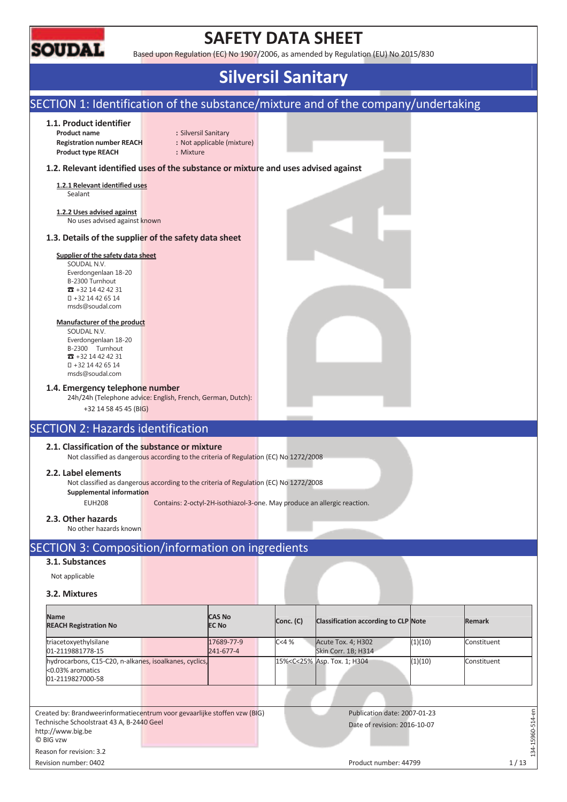

Reason for revision: 3.2

## **SAFETY DATA SHEET**

Based upon Regulation (EC) No 1907/2006, as amended by Regulation (EU) No 2015/830

## **Silversil Sanitary**

#### SECTION 1: Identification of the substance/mixture and of the company/undertaking **1.1. Product identifier Product name :** Silversil Sanitary **Registration number REACH :** Not applicable (mixture) **Product type REACH :** Mixture **1.2. Relevant identified uses of the substance or mixture and uses advised against 1.2.1 Relevant identified uses**  Sealant **1.2.2 Uses advised against**  No uses advised against known **1.3. Details of the supplier of the safety data sheet Supplier of the safety data sheet**  SOUDAL N.V. Everdongenlaan 18-20 B-2300 Turnhout  $\overline{3}$  +32 14 42 42 31 +32 14 42 65 14 msds@soudal.com **Manufacturer of the product**  SOUDAL N.V. Everdongenlaan 18-20 B-2300 Turnhout  $\overline{3}$  +32 14 42 42 31 +32 14 42 65 14 msds@soudal.com **1.4. Emergency telephone number**  24h/24h (Telephone advice: English, French, German, Dutch): +32 14 58 45 45 (BIG) SECTION 2: Hazards identification **2.1. Classification of the substance or mixture**  Not classified as dangerous according to the criteria of Regulation (EC) No 1272/2008 **2.2. Label elements**  Not classified as dangerous according to the criteria of Regulation (EC) No 1272/2008 **Supplemental information**  EUH208 Contains: 2-octyl-2H-isothiazol-3-one. May produce an allergic reaction. **2.3. Other hazards**  No other hazards known SECTION 3: Composition/information on ingredients **3.1. Substances**  Not applicable **3.2. Mixtures Name CAS No Conc. (C)** Classification according to CLP Note **Remark REACH Registration No**  triacetoxyethylsilane 17689-77-9 C<4 % Acute Tox. 4; H302 (1)(10) Constituent 01-2119881778-15 241-677-4 Skin Corr. 1B; H314 hydrocarbons, C15-C20, n-alkanes, isoalkanes, cyclics, 15%<C<25% Asp. Tox. 1; H304 (1)(10) Constituent <0.03% aromatics 01-2119827000-58  $-15960 - 514 - en$ Created by: Brandweerinformatiecentrum voor gevaarlijke stoffen vzw (BIG) Publication date: 2007-01-23 134-15960-514-en Technische Schoolstraat 43 A, B-2440 Geel Date of revision: 2016-10-07 http://www.big.be © BIG vzw

Revision number: 0402 1/13

 $-34$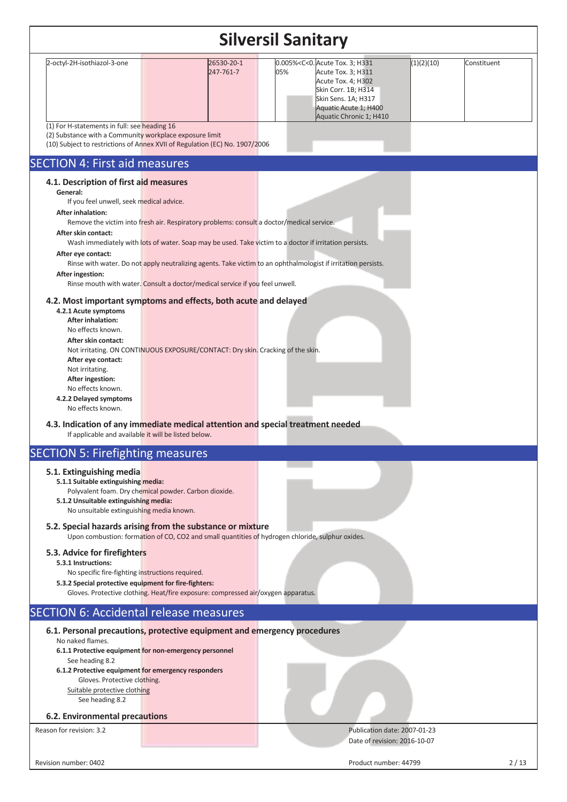| <b>Silversil Sanitary</b>                                                                                                                                                                                                                                                                                                                                                                                                                                                                                                                                                                                                                                                                                                                                                                                                                                                  |                         |                                                                                                                                                                                                               |                           |  |  |  |  |  |  |
|----------------------------------------------------------------------------------------------------------------------------------------------------------------------------------------------------------------------------------------------------------------------------------------------------------------------------------------------------------------------------------------------------------------------------------------------------------------------------------------------------------------------------------------------------------------------------------------------------------------------------------------------------------------------------------------------------------------------------------------------------------------------------------------------------------------------------------------------------------------------------|-------------------------|---------------------------------------------------------------------------------------------------------------------------------------------------------------------------------------------------------------|---------------------------|--|--|--|--|--|--|
| 2-octyl-2H-isothiazol-3-one                                                                                                                                                                                                                                                                                                                                                                                                                                                                                                                                                                                                                                                                                                                                                                                                                                                | 26530-20-1<br>247-761-7 | 0.005% <c<0. 3;="" acute="" h331<br="" tox.="">05%<br/>Acute Tox. 3; H311<br/>Acute Tox. 4; H302<br/>Skin Corr. 1B; H314<br/>Skin Sens. 1A; H317<br/>Aquatic Acute 1; H400<br/>Aquatic Chronic 1; H410</c<0.> | (1)(2)(10)<br>Constituent |  |  |  |  |  |  |
| (1) For H-statements in full: see heading 16<br>(2) Substance with a Community workplace exposure limit<br>(10) Subject to restrictions of Annex XVII of Regulation (EC) No. 1907/2006                                                                                                                                                                                                                                                                                                                                                                                                                                                                                                                                                                                                                                                                                     |                         |                                                                                                                                                                                                               |                           |  |  |  |  |  |  |
| <b>SECTION 4: First aid measures</b>                                                                                                                                                                                                                                                                                                                                                                                                                                                                                                                                                                                                                                                                                                                                                                                                                                       |                         |                                                                                                                                                                                                               |                           |  |  |  |  |  |  |
| 4.1. Description of first aid measures<br>General:<br>If you feel unwell, seek medical advice.<br><b>After inhalation:</b><br>Remove the victim into fresh air. Respiratory problems: consult a doctor/medical service.<br>After skin contact:<br>Wash immediately with lots of water. Soap may be used. Take victim to a doctor if irritation persists.<br>After eye contact:<br>After ingestion:<br>Rinse mouth with water. Consult a doctor/medical service if you feel unwell.<br>4.2. Most important symptoms and effects, both acute and delayed<br>4.2.1 Acute symptoms<br><b>After inhalation:</b><br>No effects known.<br>After skin contact:<br>Not irritating. ON CONTINUOUS EXPOSURE/CONTACT: Dry skin. Cracking of the skin.<br>After eye contact:<br>Not irritating.<br>After ingestion:<br>No effects known.<br>4.2.2 Delayed symptoms<br>No effects known. |                         | Rinse with water. Do not apply neutralizing agents. Take victim to an ophthalmologist if irritation persists.                                                                                                 |                           |  |  |  |  |  |  |
| 4.3. Indication of any immediate medical attention and special treatment needed<br>If applicable and available it will be listed below.                                                                                                                                                                                                                                                                                                                                                                                                                                                                                                                                                                                                                                                                                                                                    |                         |                                                                                                                                                                                                               |                           |  |  |  |  |  |  |
| <b>SECTION 5: Firefighting measures</b>                                                                                                                                                                                                                                                                                                                                                                                                                                                                                                                                                                                                                                                                                                                                                                                                                                    |                         |                                                                                                                                                                                                               |                           |  |  |  |  |  |  |
| 5.1. Extinguishing media<br>5.1.1 Suitable extinguishing media:<br>Polyvalent foam. Dry chemical powder. Carbon dioxide.<br>5.1.2 Unsuitable extinguishing media:<br>No unsuitable extinguishing media known.                                                                                                                                                                                                                                                                                                                                                                                                                                                                                                                                                                                                                                                              |                         |                                                                                                                                                                                                               |                           |  |  |  |  |  |  |
| 5.2. Special hazards arising from the substance or mixture<br>Upon combustion: formation of CO, CO2 and small quantities of hydrogen chloride, sulphur oxides.                                                                                                                                                                                                                                                                                                                                                                                                                                                                                                                                                                                                                                                                                                             |                         |                                                                                                                                                                                                               |                           |  |  |  |  |  |  |
| 5.3. Advice for firefighters<br>5.3.1 Instructions:<br>No specific fire-fighting instructions required.<br>5.3.2 Special protective equipment for fire-fighters:<br>Gloves. Protective clothing. Heat/fire exposure: compressed air/oxygen apparatus.                                                                                                                                                                                                                                                                                                                                                                                                                                                                                                                                                                                                                      |                         |                                                                                                                                                                                                               |                           |  |  |  |  |  |  |
| <b>SECTION 6: Accidental release measures</b>                                                                                                                                                                                                                                                                                                                                                                                                                                                                                                                                                                                                                                                                                                                                                                                                                              |                         |                                                                                                                                                                                                               |                           |  |  |  |  |  |  |
| 6.1. Personal precautions, protective equipment and emergency procedures<br>No naked flames.<br>6.1.1 Protective equipment for non-emergency personnel<br>See heading 8.2<br>6.1.2 Protective equipment for emergency responders<br>Gloves. Protective clothing.<br>Suitable protective clothing<br>See heading 8.2                                                                                                                                                                                                                                                                                                                                                                                                                                                                                                                                                        |                         |                                                                                                                                                                                                               |                           |  |  |  |  |  |  |
| 6.2. Environmental precautions                                                                                                                                                                                                                                                                                                                                                                                                                                                                                                                                                                                                                                                                                                                                                                                                                                             |                         |                                                                                                                                                                                                               |                           |  |  |  |  |  |  |
| Reason for revision: 3.2                                                                                                                                                                                                                                                                                                                                                                                                                                                                                                                                                                                                                                                                                                                                                                                                                                                   |                         | Publication date: 2007-01-23<br>Date of revision: 2016-10-07                                                                                                                                                  |                           |  |  |  |  |  |  |
| Revision number: 0402                                                                                                                                                                                                                                                                                                                                                                                                                                                                                                                                                                                                                                                                                                                                                                                                                                                      |                         | Product number: 44799                                                                                                                                                                                         | 2/13                      |  |  |  |  |  |  |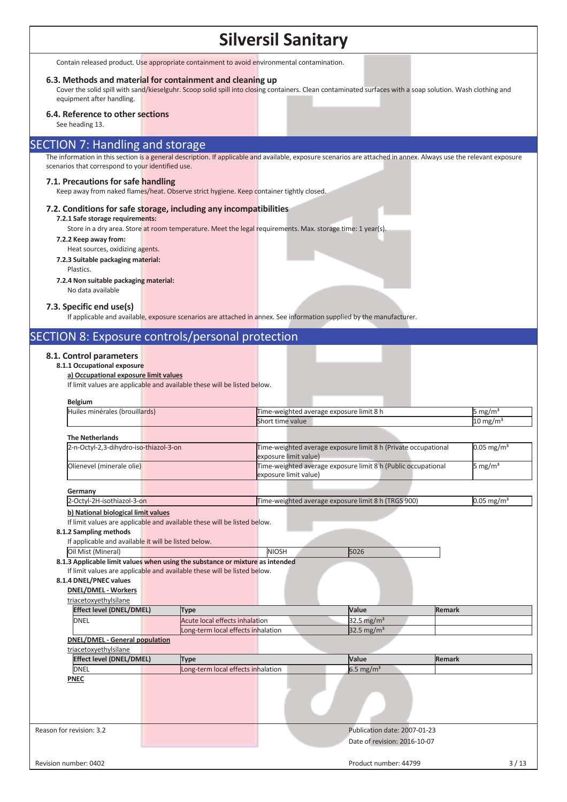Contain released product. Use appropriate containment to avoid environmental contamination.

#### **6.3. Methods and material for containment and cleaning up**

Cover the solid spill with sand/kieselguhr. Scoop solid spill into closing containers. Clean contaminated surfaces with a soap solution. Wash clothing and equipment after handling.

#### **6.4. Reference to other sections**

See heading 13.

#### SECTION 7: Handling and storage

The information in this section is a general description. If applicable and available, exposure scenarios are attached in annex. Always use the relevant exposure scenarios that correspond to your identified use.

#### **7.1. Precautions for safe handling**

Keep away from naked flames/heat. Observe strict hygiene. Keep container tightly closed.

#### **7.2. Conditions for safe storage, including any incompatibilities**

#### **7.2.1 Safe storage requirements:**

Store in a dry area. Store at room temperature. Meet the legal requirements. Max. storage time: 1 year(s).

#### **7.2.2 Keep away from:**

Heat sources, oxidizing agents. **7.2.3 Suitable packaging material:** 

#### Plastics.

#### **7.2.4 Non suitable packaging material:**

No data available

#### **7.3. Specific end use(s)**

If applicable and available, exposure scenarios are attached in annex. See information supplied by the manufacturer.

### SECTION 8: Exposure controls/personal protection

#### **8.1. Control parameters**

#### **8.1.1 Occupational exposure a) Occupational exposure limit values**

If limit values are applicable and available these will be listed below.

| Huiles minérales (brouillards)                                           |                                    | Time-weighted average exposure limit 8 h |                                                                | 5 mg/m <sup>3</sup> |                          |
|--------------------------------------------------------------------------|------------------------------------|------------------------------------------|----------------------------------------------------------------|---------------------|--------------------------|
|                                                                          |                                    | Short time value                         |                                                                |                     | $10 \text{ mg/m}^3$      |
| <b>The Netherlands</b>                                                   |                                    |                                          |                                                                |                     |                          |
| 2-n-Octyl-2,3-dihydro-iso-thiazol-3-on                                   |                                    | exposure limit value)                    | Time-weighted average exposure limit 8 h (Private occupational |                     | $0.05$ mg/m <sup>3</sup> |
| Olienevel (minerale olie)                                                |                                    | exposure limit value)                    | Time-weighted average exposure limit 8 h (Public occupational  |                     | 5 mg/m <sup>3</sup>      |
| Germany                                                                  |                                    |                                          |                                                                |                     |                          |
| 2-Octyl-2H-isothiazol-3-on                                               |                                    |                                          | Time-weighted average exposure limit 8 h (TRGS 900)            |                     | $0.05$ mg/m <sup>3</sup> |
| b) National biological limit values                                      |                                    |                                          |                                                                |                     |                          |
| If limit values are applicable and available these will be listed below. |                                    |                                          |                                                                |                     |                          |
| 8.1.2 Sampling methods                                                   |                                    |                                          |                                                                |                     |                          |
| If applicable and available it will be listed below.                     |                                    |                                          |                                                                |                     |                          |
| Oil Mist (Mineral)                                                       |                                    | <b>NIOSH</b>                             | 5026                                                           |                     |                          |
| 8.1.4 DNEL/PNEC values<br><b>DNEL/DMEL - Workers</b>                     |                                    |                                          |                                                                |                     |                          |
| triacetoxyethylsilane                                                    |                                    |                                          |                                                                |                     |                          |
| <b>Effect level (DNEL/DMEL)</b>                                          | <b>Type</b>                        |                                          | Value                                                          | <b>Remark</b>       |                          |
| <b>DNEL</b>                                                              | Acute local effects inhalation     |                                          | 32.5 mg/ $m3$                                                  |                     |                          |
|                                                                          | Long-term local effects inhalation |                                          | 32.5 mg/m <sup>3</sup>                                         |                     |                          |
| <b>DNEL/DMEL - General population</b><br>triacetoxyethylsilane           |                                    |                                          |                                                                |                     |                          |
| <b>Effect level (DNEL/DMEL)</b>                                          | <b>Type</b>                        |                                          | Value                                                          | <b>Remark</b>       |                          |
| <b>DNEL</b>                                                              | Long-term local effects inhalation |                                          | $6.5 \text{ mg/m}^3$                                           |                     |                          |
| <b>PNEC</b>                                                              |                                    |                                          |                                                                |                     |                          |
|                                                                          |                                    |                                          |                                                                |                     |                          |
|                                                                          |                                    |                                          |                                                                |                     |                          |
|                                                                          |                                    |                                          |                                                                |                     |                          |
| Reason for revision: 3.2                                                 |                                    |                                          | Publication date: 2007-01-23                                   |                     |                          |
|                                                                          |                                    |                                          | Date of revision: 2016-10-07                                   |                     |                          |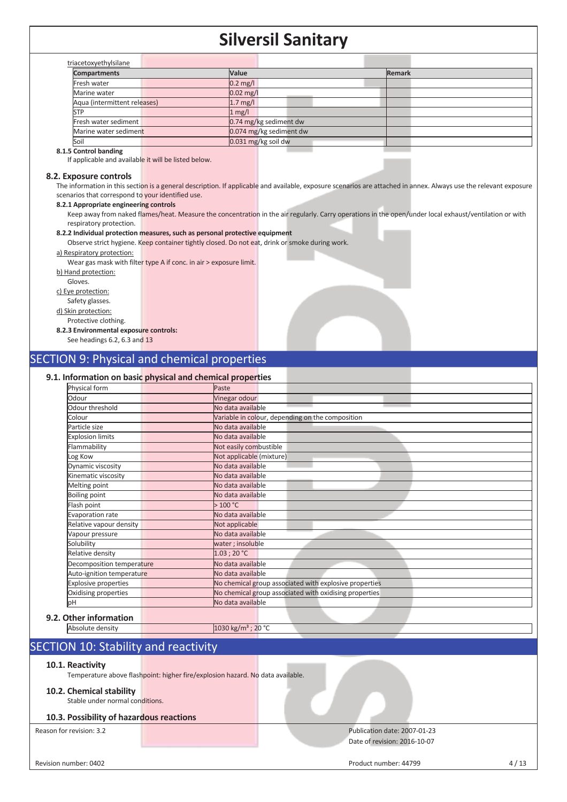| <b>Compartments</b>          | Value                   | Remark |
|------------------------------|-------------------------|--------|
| Fresh water                  | $0.2$ mg/l              |        |
| Marine water                 | $0.02$ mg/l             |        |
| Aqua (intermittent releases) | $1.7$ mg/l              |        |
| STP                          | 1 mg/l                  |        |
| Fresh water sediment         | 0.74 mg/kg sediment dw  |        |
| Marine water sediment        | 0.074 mg/kg sediment dw |        |
| Soil                         | 0.031 mg/kg soil dw     |        |

#### **8.1.5 Control banding**

If applicable and available it will be listed below.

#### **8.2. Exposure controls**

The information in this section is a general description. If applicable and available, exposure scenarios are attached in annex. Always use the relevant exposure scenarios that correspond to your identified use.

#### **8.2.1 Appropriate engineering controls**

Keep away from naked flames/heat. Measure the concentration in the air regularly. Carry operations in the open/under local exhaust/ventilation or with respiratory protection.

#### **8.2.2 Individual protection measures, such as personal protective equipment**

Observe strict hygiene. Keep container tightly closed. Do not eat, drink or smoke during work.

#### a) Respiratory protection:

Wear gas mask with filter type A if conc. in air > exposure limit.

- b) Hand protection:
- Gloves.

c) Eye protection:

- Safety glasses.
- d) Skin protection:

#### Protective clothing.

#### **8.2.3 Environmental exposure controls:**

See headings 6.2, 6.3 and 13

#### SECTION 9: Physical and chemical properties

#### **9.1. Information on basic physical and chemical properties**

| Physical form               | Paste                                                  |
|-----------------------------|--------------------------------------------------------|
| Odour                       | Vinegar odour                                          |
| Odour threshold             | No data available                                      |
| Colour                      | Variable in colour, depending on the composition       |
| Particle size               | No data available                                      |
| <b>Explosion limits</b>     | No data available                                      |
| Flammability                | Not easily combustible                                 |
| Log Kow                     | Not applicable (mixture)                               |
| Dynamic viscosity           | No data available                                      |
| Kinematic viscosity         | No data available                                      |
| Melting point               | No data available                                      |
| Boiling point               | No data available                                      |
| Flash point                 | >100 °C                                                |
| Evaporation rate            | No data available                                      |
| Relative vapour density     | Not applicable                                         |
| Vapour pressure             | No data available                                      |
| Solubility                  | water; insoluble                                       |
| Relative density            | 1.03:20 °C                                             |
| Decomposition temperature   | No data available                                      |
| Auto-ignition temperature   | No data available                                      |
| <b>Explosive properties</b> | No chemical group associated with explosive properties |
| Oxidising properties        | No chemical group associated with oxidising properties |
| þН                          | No data available                                      |

### **9.2.**

Absolute density 1030 kg/m<sup>3</sup> ; 20 °C

### SECTION 10: Stability and reactivity

#### **10.1. Reactivity**

Temperature above flashpoint: higher fire/explosion hazard. No data available.

#### **10.2. Chemical stability**

Stable under normal conditions.

#### **10.3. Possibility of hazardous reactions**

### Reason for revision: 3.2 Publication date: 2007-01-23

Date of revision: 2016-10-07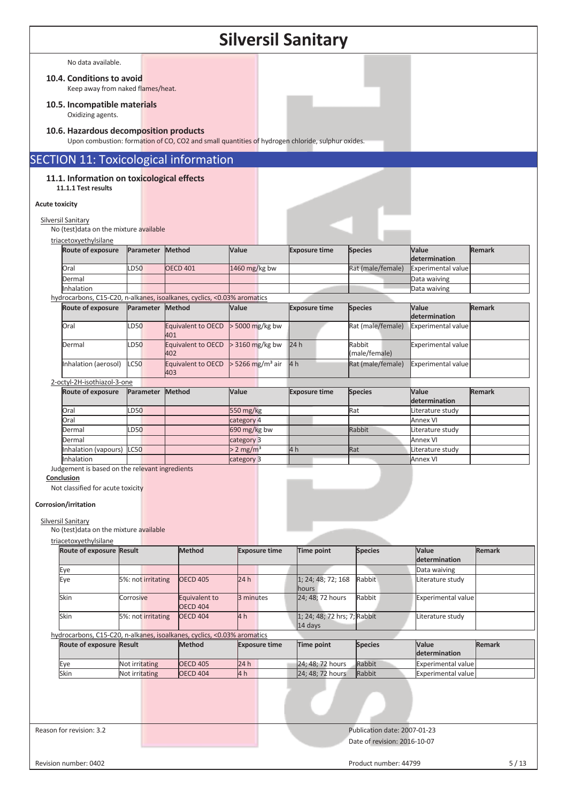|                       | <b>Silversil Sanitary</b>                                         |                    |                                                                                                  |                                |                                         |                              |                                           |               |  |
|-----------------------|-------------------------------------------------------------------|--------------------|--------------------------------------------------------------------------------------------------|--------------------------------|-----------------------------------------|------------------------------|-------------------------------------------|---------------|--|
|                       | No data available.                                                |                    |                                                                                                  |                                |                                         |                              |                                           |               |  |
|                       | 10.4. Conditions to avoid                                         |                    |                                                                                                  |                                |                                         |                              |                                           |               |  |
|                       | Keep away from naked flames/heat.                                 |                    |                                                                                                  |                                |                                         |                              |                                           |               |  |
|                       | 10.5. Incompatible materials<br>Oxidizing agents.                 |                    |                                                                                                  |                                |                                         |                              |                                           |               |  |
|                       | 10.6. Hazardous decomposition products                            |                    | Upon combustion: formation of CO, CO2 and small quantities of hydrogen chloride, sulphur oxides. |                                |                                         |                              |                                           |               |  |
|                       |                                                                   |                    | <b>SECTION 11: Toxicological information</b>                                                     |                                |                                         |                              |                                           |               |  |
|                       | 11.1. Information on toxicological effects<br>11.1.1 Test results |                    |                                                                                                  |                                |                                         |                              |                                           |               |  |
| <b>Acute toxicity</b> |                                                                   |                    |                                                                                                  |                                |                                         |                              |                                           |               |  |
|                       | Silversil Sanitary                                                |                    |                                                                                                  |                                |                                         |                              |                                           |               |  |
|                       | No (test) data on the mixture available                           |                    |                                                                                                  |                                |                                         |                              |                                           |               |  |
|                       | triacetoxyethylsilane<br>Route of exposure                        | Parameter Method   |                                                                                                  | Value                          | <b>Exposure time</b>                    | <b>Species</b>               | Value                                     | <b>Remark</b> |  |
|                       |                                                                   |                    |                                                                                                  |                                |                                         |                              | determination                             |               |  |
|                       | Oral<br>Dermal                                                    | LD50               | <b>OECD 401</b>                                                                                  | 1460 mg/kg bw                  |                                         | Rat (male/female)            | <b>Experimental value</b><br>Data waiving |               |  |
|                       | Inhalation                                                        |                    |                                                                                                  |                                |                                         |                              | Data waiving                              |               |  |
|                       |                                                                   |                    | hydrocarbons, C15-C20, n-alkanes, isoalkanes, cyclics, <0.03% aromatics                          |                                |                                         |                              |                                           |               |  |
|                       | Route of exposure                                                 | Parameter Method   |                                                                                                  | Value                          | <b>Exposure time</b>                    | <b>Species</b>               | Value<br>determination                    | <b>Remark</b> |  |
|                       | Oral                                                              | LD50               | Equivalent to OECD<br>401                                                                        | > 5000 mg/kg bw                |                                         | Rat (male/female)            | Experimental value                        |               |  |
|                       | Dermal                                                            | LD50               | Equivalent to OECD<br>402                                                                        | > 3160 mg/kg bw                | 24h                                     | Rabbit<br>(male/female)      | <b>Experimental value</b>                 |               |  |
|                       | Inhalation (aerosol)                                              | <b>LC50</b>        | Equivalent to OECD<br>403                                                                        | $>$ 5266 mg/m <sup>3</sup> air | 4 <sub>h</sub>                          | Rat (male/female)            | <b>Experimental value</b>                 |               |  |
|                       | 2-octyl-2H-isothiazol-3-one<br>Route of exposure                  | Parameter          | Method                                                                                           | Value                          | <b>Exposure time</b>                    | <b>Species</b>               | Value<br>determination                    | <b>Remark</b> |  |
|                       | Oral                                                              | <b>D50</b>         |                                                                                                  | 550 mg/kg                      |                                         | Rat                          | Literature study                          |               |  |
|                       | Oral                                                              |                    |                                                                                                  | category 4                     |                                         |                              | <b>Annex VI</b>                           |               |  |
|                       | Dermal<br>Dermal                                                  | LD50               |                                                                                                  | 690 mg/kg bw<br>category 3     |                                         | Rabbit                       | Literature study<br><b>Annex VI</b>       |               |  |
|                       | Inhalation (vapours) LC50                                         |                    |                                                                                                  | $> 2$ mg/m <sup>3</sup>        | 14 h                                    | Rat                          | Literature study                          |               |  |
|                       | Inhalation                                                        |                    |                                                                                                  | category 3                     |                                         |                              | <b>Annex VI</b>                           |               |  |
|                       | Judgement is based on the relevant ingredients<br>Conclusion      |                    |                                                                                                  |                                |                                         |                              |                                           |               |  |
|                       | Not classified for acute toxicity                                 |                    |                                                                                                  |                                |                                         |                              |                                           |               |  |
|                       |                                                                   |                    |                                                                                                  |                                |                                         |                              |                                           |               |  |
|                       | Corrosion/irritation                                              |                    |                                                                                                  |                                |                                         |                              |                                           |               |  |
|                       | Silversil Sanitary                                                |                    |                                                                                                  |                                |                                         |                              |                                           |               |  |
|                       | No (test) data on the mixture available<br>triacetoxyethylsilane  |                    |                                                                                                  |                                |                                         |                              |                                           |               |  |
|                       | Route of exposure Result                                          |                    | <b>Method</b>                                                                                    | <b>Exposure time</b>           | <b>Time point</b>                       | <b>Species</b>               | Value                                     | <b>Remark</b> |  |
|                       |                                                                   |                    |                                                                                                  |                                |                                         |                              | determination                             |               |  |
|                       | Eye<br>Eye                                                        | 5%: not irritating | <b>OECD 405</b>                                                                                  | 24h                            | 1; 24; 48; 72; 168                      | Rabbit                       | Data waiving<br>Literature study          |               |  |
|                       | Skin                                                              | Corrosive          | Equivalent to                                                                                    | 3 minutes                      | hours<br>24; 48; 72 hours               | Rabbit                       | <b>Experimental value</b>                 |               |  |
|                       |                                                                   |                    | <b>OECD 404</b>                                                                                  |                                |                                         |                              |                                           |               |  |
|                       | Skin                                                              | 5%: not irritating | <b>OECD 404</b>                                                                                  | 4 h                            | 1; 24; 48; 72 hrs; 7; Rabbit<br>14 days |                              | Literature study                          |               |  |
|                       |                                                                   |                    | hydrocarbons, C15-C20, n-alkanes, isoalkanes, cyclics, <0.03% aromatics                          |                                |                                         |                              |                                           |               |  |
|                       | Route of exposure Result                                          |                    | <b>Method</b>                                                                                    | <b>Exposure time</b>           | Time point                              | <b>Species</b>               | Value<br>determination                    | <b>Remark</b> |  |
|                       | Eye                                                               | Not irritating     | <b>OECD 405</b>                                                                                  | 24 h                           | 24; 48; 72 hours                        | Rabbit                       | <b>Experimental value</b>                 |               |  |
|                       | Skin                                                              | Not irritating     | <b>OECD 404</b>                                                                                  | 4 h                            | 24; 48; 72 hours                        | Rabbit                       | Experimental value                        |               |  |
|                       |                                                                   |                    |                                                                                                  |                                |                                         |                              |                                           |               |  |
|                       | Reason for revision: 3.2                                          |                    |                                                                                                  |                                |                                         | Publication date: 2007-01-23 |                                           |               |  |
|                       |                                                                   |                    |                                                                                                  |                                |                                         | Date of revision: 2016-10-07 |                                           |               |  |

Revision number: 0402 5/13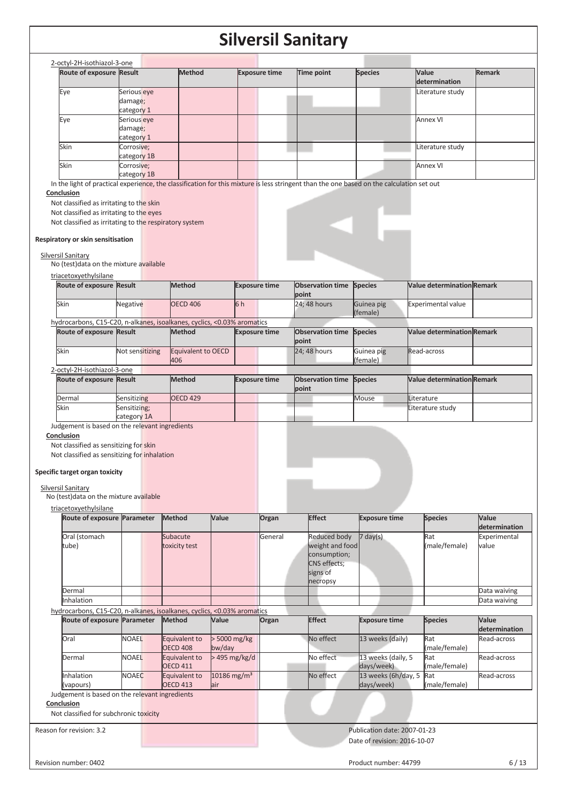| Route of exposure Result                               |                                      | Method | <b>Exposure time</b>                                                                                                                      | Time point | <b>Species</b> | Value<br>determination | <b>Remark</b> |
|--------------------------------------------------------|--------------------------------------|--------|-------------------------------------------------------------------------------------------------------------------------------------------|------------|----------------|------------------------|---------------|
| Eye                                                    | Serious eye<br>damage;<br>category 1 |        |                                                                                                                                           |            |                | Literature study       |               |
| Eye                                                    | Serious eye<br>damage;<br>category 1 |        |                                                                                                                                           |            |                | Annex VI               |               |
| Skin                                                   | Corrosive;<br>category 1B            |        |                                                                                                                                           |            |                | Literature study       |               |
| Skin                                                   | Corrosive;<br>category 1B            |        |                                                                                                                                           |            |                | Annex VI               |               |
|                                                        |                                      |        | In the light of practical experience, the classification for this mixture is less stringent than the one based on the calculation set out |            |                |                        |               |
| Conclusion                                             |                                      |        |                                                                                                                                           |            |                |                        |               |
| Not classified as irritating to the skin               |                                      |        |                                                                                                                                           |            |                |                        |               |
| Not classified as irritating to the eyes               |                                      |        |                                                                                                                                           |            |                |                        |               |
| Not classified as irritating to the respiratory system |                                      |        |                                                                                                                                           |            |                |                        |               |

#### Silversil Sanitary

No (test)data on the mixture available

| triacetoxyethylsilane           |          |                 |    |                      |                                 |            |                                   |  |
|---------------------------------|----------|-----------------|----|----------------------|---------------------------------|------------|-----------------------------------|--|
| <b>Route of exposure Result</b> |          | <b>Method</b>   |    | <b>Exposure time</b> | <b>Observation time Species</b> |            | <b>Nalue determination Remark</b> |  |
|                                 |          |                 |    |                      | point                           |            |                                   |  |
| Skin                            | Negative | <b>OECD 406</b> | 6h |                      | 24: 48 hours                    | Guinea pig | <b>Experimental value</b>         |  |
|                                 |          |                 |    |                      |                                 | (female)   |                                   |  |

|                                 |                 | hydrocarbons, C15-C20, n-alkanes, isoalkanes, cyclics, <0.03% aromatics |                      |                                 |            |                                   |  |
|---------------------------------|-----------------|-------------------------------------------------------------------------|----------------------|---------------------------------|------------|-----------------------------------|--|
| <b>Route of exposure Result</b> |                 | <b>Method</b>                                                           | <b>Exposure time</b> | <b>Observation time Species</b> |            | <b>Value determination Remark</b> |  |
|                                 |                 |                                                                         |                      | point                           |            |                                   |  |
| lSkin                           | Not sensitizing | Equivalent to OECD                                                      |                      | $24:48$ hours                   | Guinea pig | <b>Read-across</b>                |  |
|                                 |                 | 406                                                                     |                      |                                 | (female)   |                                   |  |
| 2-octyl-2H-isothiazol-3-one     |                 |                                                                         |                      |                                 |            |                                   |  |

| L OCLYT LITTSOLINGLOI 3 ONC |              |                 |                      |                                 |       |                                   |  |
|-----------------------------|--------------|-----------------|----------------------|---------------------------------|-------|-----------------------------------|--|
| Route of exposure Result    |              | <b>Method</b>   | <b>Exposure time</b> | <b>Observation time Species</b> |       | <b>Value determination Remark</b> |  |
|                             |              |                 |                      | point                           |       |                                   |  |
| Dermal                      | Sensitizing  | <b>OECD 429</b> |                      |                                 | Mouse | <b>ILiterature</b>                |  |
| Skin                        | Sensitizing; |                 |                      |                                 |       | Literature study                  |  |
|                             | category 1A  |                 |                      |                                 |       |                                   |  |

Judgement is based on the relevant ingredients

**Conclusion** 

Not classified as sensitizing for skin Not classified as sensitizing for inhalation

#### **Specific target organ toxicity**

Silversil Sanitary

No (test)data on the mixture available

triacetoxyethylsilane

| <u>uldceloxyetilyisildile</u>                                           |              |                                  |                                 |         |                                                                                                |                                   |                      |                        |
|-------------------------------------------------------------------------|--------------|----------------------------------|---------------------------------|---------|------------------------------------------------------------------------------------------------|-----------------------------------|----------------------|------------------------|
| Route of exposure Parameter                                             |              | <b>Method</b>                    | Value                           | Organ   | <b>Effect</b>                                                                                  | <b>Exposure time</b>              | <b>Species</b>       | Value<br>determination |
| Oral (stomach<br>tube)                                                  |              | Subacute<br>toxicity test        |                                 | General | Reduced body<br>weight and food<br>consumption;<br><b>CNS</b> effects;<br>signs of<br>necropsy | $7 \text{ day}(s)$                | Rat<br>(male/female) | Experimental<br>value  |
| Dermal                                                                  |              |                                  |                                 |         |                                                                                                |                                   |                      | Data waiving           |
| Inhalation                                                              |              |                                  |                                 |         |                                                                                                |                                   |                      | Data waiving           |
| hydrocarbons, C15-C20, n-alkanes, isoalkanes, cyclics, <0.03% aromatics |              |                                  |                                 |         |                                                                                                |                                   |                      |                        |
| Route of exposure Parameter                                             |              | <b>Method</b>                    | Value                           | Organ   | <b>Effect</b>                                                                                  | <b>Exposure time</b>              | <b>Species</b>       | Value<br>determination |
| Oral                                                                    | <b>NOAEL</b> | Equivalent to<br><b>OECD 408</b> | > 5000 mg/kg<br>bw/day          |         | No effect                                                                                      | 13 weeks (daily)                  | Rat<br>(male/female) | Read-across            |
| Dermal                                                                  | <b>NOAEL</b> | Equivalent to<br><b>OECD 411</b> | $>495$ mg/kg/d                  |         | No effect                                                                                      | 13 weeks (daily, 5<br>days/week)  | Rat<br>(male/female) | Read-across            |
| Inhalation<br>(vapours)                                                 | <b>NOAEC</b> | Equivalent to<br><b>OECD 413</b> | 10186 mg/m <sup>3</sup><br>lair |         | No effect                                                                                      | 13 weeks (6h/day, 5<br>days/week) | Rat<br>(male/female) | Read-across            |
| Judgement is based on the relevant ingredients                          |              |                                  |                                 |         |                                                                                                |                                   |                      |                        |
| Conclusion<br>Not classified for subchronic toxicity                    |              |                                  |                                 |         |                                                                                                |                                   |                      |                        |
| Reason for revision: 3.2                                                |              |                                  |                                 |         |                                                                                                | Publication date: 2007-01-23      |                      |                        |

Date of revision: 2016-10-07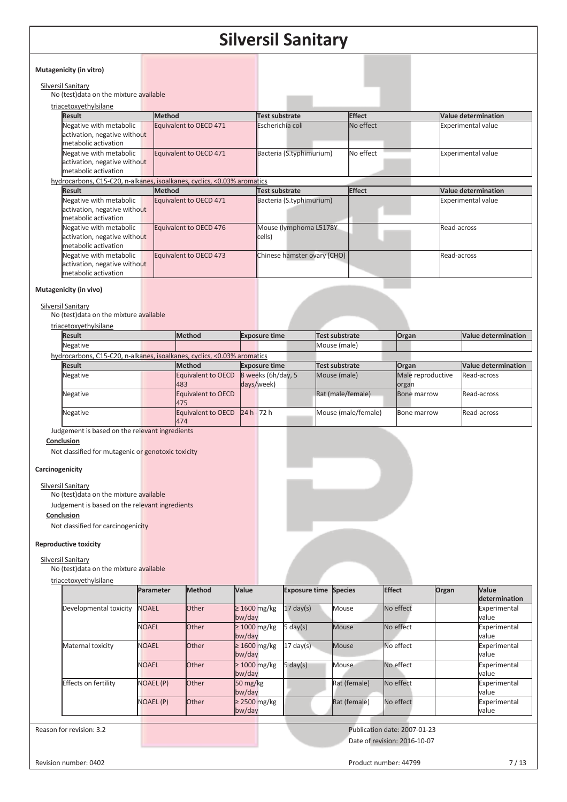| Mutagenicity (in vitro)                                                                                 |                                                                         |                                    |                            |                                           |
|---------------------------------------------------------------------------------------------------------|-------------------------------------------------------------------------|------------------------------------|----------------------------|-------------------------------------------|
| Silversil Sanitary<br>No (test) data on the mixture available                                           |                                                                         |                                    |                            |                                           |
| triacetoxyethylsilane                                                                                   |                                                                         |                                    |                            |                                           |
| <b>Result</b><br>Negative with metabolic<br>activation, negative without                                | Method<br>Equivalent to OECD 471                                        | Test substrate<br>Escherichia coli | <b>Effect</b><br>No effect | Value determination<br>Experimental value |
| metabolic activation<br>Negative with metabolic<br>activation, negative without<br>metabolic activation | Equivalent to OECD 471                                                  | Bacteria (S.typhimurium)           | No effect                  | <b>Experimental value</b>                 |
|                                                                                                         | hydrocarbons, C15-C20, n-alkanes, isoalkanes, cyclics, <0.03% aromatics |                                    |                            |                                           |
| <b>Result</b>                                                                                           | Method                                                                  | Test substrate                     | <b>Effect</b>              | Value determination                       |
| Negative with metabolic<br>activation, negative without<br>metabolic activation                         | Equivalent to OECD 471                                                  | Bacteria (S.typhimurium)           |                            | <b>Experimental value</b>                 |
| Negative with metabolic<br>activation, negative without<br>metabolic activation                         | Equivalent to OECD 476                                                  | Mouse (lymphoma L5178Y<br>cells)   |                            | Read-across                               |
| Negative with metabolic<br>activation, negative without<br>metabolic activation                         | Equivalent to OECD 473                                                  | Chinese hamster ovary (CHO)        |                            | Read-across                               |

#### Silversil Sanitary

No (test)data on the mixture available

| triacetoxyethylsilane |  |  |
|-----------------------|--|--|

| <b>Result</b>                                                           | <b>Method</b>      | <b>Exposure time</b> | Test substrate      | Organ             | <b>Value determination</b> |
|-------------------------------------------------------------------------|--------------------|----------------------|---------------------|-------------------|----------------------------|
| Negative                                                                |                    |                      | Mouse (male)        |                   |                            |
| hydrocarbons, C15-C20, n-alkanes, isoalkanes, cyclics, <0.03% aromatics |                    |                      |                     |                   |                            |
| <b>Result</b>                                                           | <b>Method</b>      | <b>Exposure time</b> | Test substrate      | Organ             | <b>Value determination</b> |
| Negative                                                                | Equivalent to OECD | 8 weeks (6h/day, 5)  | Mouse (male)        | Male reproductive | Read-across                |
|                                                                         | 483                | days/week)           |                     | organ             |                            |
| Negative                                                                | Equivalent to OECD |                      | Rat (male/female)   | Bone marrow       | Read-across                |
|                                                                         | 475                |                      |                     |                   |                            |
| Negative                                                                | Equivalent to OECD | $24 h - 72 h$        | Mouse (male/female) | Bone marrow       | Read-across                |
|                                                                         | 474                |                      |                     |                   |                            |
|                                                                         |                    |                      |                     |                   |                            |

Judgement is based on the relevant ingredients

#### **Conclusion**

Not classified for mutagenic or genotoxic toxicity

#### **Carcinogenicity**

Silversil Sanitary

No (test)data on the mixture available

Judgement is based on the relevant ingredients

#### **Conclusion**

Not classified for carcinogenicity

#### **Reproductive toxicity**

Silversil Sanitary

No (test)data on the mixture available

|                             | Parameter        | Method       | Value                           | <b>Exposure time Species</b> |              | <b>Effect</b> | Organ | Value                 |
|-----------------------------|------------------|--------------|---------------------------------|------------------------------|--------------|---------------|-------|-----------------------|
|                             |                  |              |                                 |                              |              |               |       | determination         |
| Developmental toxicity      | <b>NOAEL</b>     | <b>Other</b> | $\geq 1600$ mg/kg<br>bw/day     | $17 \text{ day(s)}$          | Mouse        | No effect     |       | Experimental<br>value |
|                             | <b>NOAEL</b>     | <b>Other</b> | $\geq 1000$ mg/kg<br>bw/day     | 5 day(s)                     | Mouse        | No effect     |       | Experimental<br>value |
| Maternal toxicity           | <b>NOAEL</b>     | Other        | $\geq 1600$ mg/kg<br>bw/day     | $17 \text{ day(s)}$          | Mouse        | No effect     |       | Experimental<br>value |
|                             | <b>NOAEL</b>     | <b>Other</b> | $\geq 1000$ mg/kg<br>bw/day     | $5 \text{ day}(s)$           | Mouse        | No effect     |       | Experimental<br>value |
| <b>Effects on fertility</b> | <b>NOAEL (P)</b> | <b>Other</b> | $50 \,\mathrm{mg/kg}$<br>bw/day |                              | Rat (female) | No effect     |       | Experimental<br>value |
|                             | <b>NOAEL (P)</b> | <b>Other</b> | $\geq$ 2500 mg/kg<br>bw/day     |                              | Rat (female) | No effect     |       | Experimental<br>value |

Reason for revision: 3.2 **Publication date: 2007-01-23** Publication date: 2007-01-23 Date of revision: 2016-10-07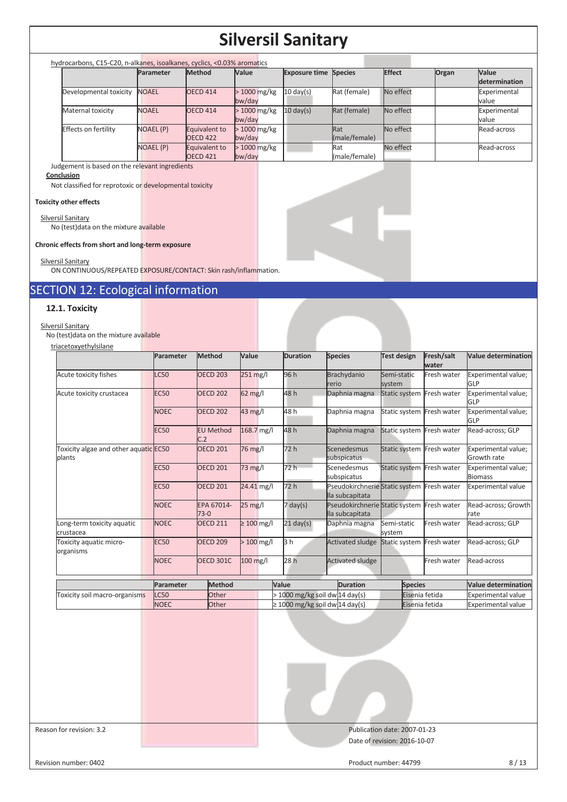| hydrocarbons, C15-C20, n-alkanes, isoalkanes, cyclics, <0.03% aromatics |                  |                                      |                         |                              |                      |           |       |                               |
|-------------------------------------------------------------------------|------------------|--------------------------------------|-------------------------|------------------------------|----------------------|-----------|-------|-------------------------------|
|                                                                         | Parameter        | <b>Method</b>                        | <b>Value</b>            | <b>Exposure time Species</b> |                      | Effect    | Organ | <b>Value</b><br>determination |
| Developmental toxicity                                                  | <b>NOAEL</b>     | <b>OECD 414</b>                      | $>1000$ mg/kg<br>bw/day | $10 \text{ day(s)}$          | Rat (female)         | No effect |       | Experimental<br>value         |
| Maternal toxicity                                                       | <b>NOAEL</b>     | <b>OECD 414</b>                      | $>1000$ mg/kg<br>bw/day | $10 \text{ day(s)}$          | Rat (female)         | No effect |       | Experimental<br>value         |
| Effects on fertility                                                    | <b>NOAEL (P)</b> | Equivalent to<br>OECD <sub>422</sub> | $>1000$ mg/kg<br>bw/day |                              | Rat<br>(male/female) | No effect |       | Read-across                   |
|                                                                         | <b>NOAEL (P)</b> | Equivalent to<br><b>OECD 421</b>     | $>1000$ mg/kg<br>bw/day |                              | Rat<br>(male/female) | No effect |       | Read-across                   |

Judgement is based on the relevant ingredients

#### **Conclusion**

Not classified for reprotoxic or developmental toxicity

#### **Toxicity other effects**

Silversil Sanitary No (test)data on the mixture available

**Chronic effects from short and long-term exposure** 

#### Silversil Sanitary

ON CONTINUOUS/REPEATED EXPOSURE/CONTACT: Skin rash/inflammation.

### SECTION 12: Ecological information

#### **12.1. Toxicity**

Silversil Sanitary No (test)data on the mixture available

triacetoxyethylsilane

|                                                 | Parameter   | <b>Method</b>           | Value             | <b>Duration</b>                  | <b>Species</b>                                                | Test design               | Fresh/salt<br>water | <b>Value determination</b>            |
|-------------------------------------------------|-------------|-------------------------|-------------------|----------------------------------|---------------------------------------------------------------|---------------------------|---------------------|---------------------------------------|
| Acute toxicity fishes                           | LC50        | <b>OECD 203</b>         | 251 mg/l          | 96 h                             | Brachydanio<br>rerio                                          | Semi-static<br>system     | Fresh water         | Experimental value;<br>GLP            |
| Acute toxicity crustacea                        | <b>EC50</b> | <b>OECD 202</b>         | 62 mg/l           | 48 h                             | Daphnia magna                                                 | Static system Fresh water |                     | Experimental value;<br>GLP            |
|                                                 | <b>NOEC</b> | <b>OECD 202</b>         | 43 mg/l           | 48 h                             | Daphnia magna                                                 | Static system Fresh water |                     | Experimental value;<br>GLP            |
|                                                 | <b>EC50</b> | <b>EU Method</b><br>C.2 | 168.7 mg/l        | 48 h                             | Daphnia magna                                                 | Static system Fresh water |                     | Read-across; GLP                      |
| Toxicity algae and other aquatic EC50<br>plants |             | <b>OECD 201</b>         | 76 mg/l           | 72h                              | Scenedesmus<br>subspicatus                                    | Static system Fresh water |                     | Experimental value;<br>Growth rate    |
|                                                 | <b>EC50</b> | <b>OECD 201</b>         | 73 mg/l           | 72 h                             | Scenedesmus<br>subspicatus                                    | Static system Fresh water |                     | Experimental value;<br><b>Biomass</b> |
|                                                 | <b>EC50</b> | <b>OECD 201</b>         | 24.41 mg/l        | 72 h                             | Pseudokirchnerie Static system Fresh water<br>lla subcapitata |                           |                     | <b>Experimental value</b>             |
|                                                 | <b>NOEC</b> | EPA 67014-<br>$73-0$    | $25 \text{ mg/l}$ | $7 \text{ day}(s)$               | Pseudokirchnerie Static system Fresh water<br>lla subcapitata |                           |                     | Read-across; Growth<br>Irate          |
| Long-term toxicity aquatic<br>crustacea         | <b>NOEC</b> | <b>OECD 211</b>         | $\geq 100$ mg/l   | $21 \text{ day(s)}$              | Daphnia magna                                                 | Semi-static<br>system     | Fresh water         | Read-across; GLP                      |
| Toxicity aquatic micro-<br>organisms            | <b>EC50</b> | <b>OECD 209</b>         | $>100$ mg/l       | 3 <sub>h</sub>                   | <b>Activated sludge</b>                                       | Static system Fresh water |                     | Read-across: GLP                      |
|                                                 | <b>NOEC</b> | <b>OECD 301C</b>        | 100 mg/l          | 28h                              | <b>Activated sludge</b>                                       |                           | Fresh water         | Read-across                           |
|                                                 | Parameter   | Method                  |                   | Value                            | <b>Duration</b>                                               | <b>Species</b>            |                     | <b>Value determination</b>            |
| Toxicity soil macro-organisms                   | <b>LC50</b> | <b>Other</b>            |                   | $>$ 1000 mg/kg soil dw 14 day(s) |                                                               | Eisenia fetida            |                     | <b>Experimental value</b>             |
|                                                 | <b>NOEC</b> | <b>Other</b>            |                   |                                  | $\geq$ 1000 mg/kg soil dw 14 day(s)                           | Eisenia fetida            |                     | <b>Experimental value</b>             |

Reason for revision: 3.2 **Publication date: 2007-01-23** Publication date: 2007-01-23 Date of revision: 2016-10-07

#### Revision number: 0402 8/13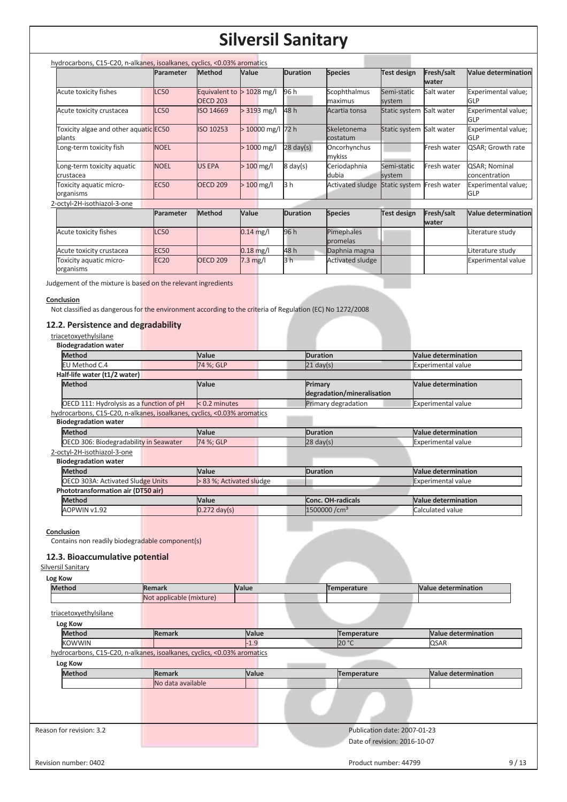| hydrocarbons, C15-C20, n-alkanes, isoalkanes, cyclics, <0.03% aromatics |             |                                  |                  |                     |                         |                          |                     |                                   |
|-------------------------------------------------------------------------|-------------|----------------------------------|------------------|---------------------|-------------------------|--------------------------|---------------------|-----------------------------------|
|                                                                         | Parameter   | <b>Method</b>                    | Value            | <b>Duration</b>     | <b>Species</b>          | <b>Test design</b>       | Fresh/salt<br>water | <b>Value determination</b>        |
| Acute toxicity fishes                                                   | <b>LC50</b> | Equivalent to<br><b>OECD 203</b> | $>1028$ mg/l     | 96 h                | Scophthalmus<br>maximus | Semi-static<br>system    | Salt water          | Experimental value;<br>GLP        |
| Acute toxicity crustacea                                                | <b>LC50</b> | ISO 14669                        | $> 3193$ mg/l    | 48 h                | Acartia tonsa           | Static system Salt water |                     | Experimental value;<br>GLP        |
| Toxicity algae and other aquatic EC50<br>blants                         |             | ISO 10253                        | >10000 mg/l 72 h |                     | Skeletonema<br>costatum | Static system Salt water |                     | Experimental value;<br><b>GLP</b> |
| Long-term toxicity fish                                                 | <b>NOEL</b> |                                  | > 1000 mg/l      | $28 \text{ day}(s)$ | Oncorhynchus<br>mykiss  |                          | Fresh water         | QSAR; Growth rate                 |
| Long-term toxicity aquatic<br>crustacea                                 | <b>NOEL</b> | <b>US EPA</b>                    | $>100$ mg/l      | $8 \text{ day}(s)$  | Ceriodaphnia<br>dubia   | Semi-static<br>system    | Fresh water         | QSAR; Nominal<br>concentration    |
| Toxicity aquatic micro-<br>organisms                                    | <b>EC50</b> | <b>OECD 209</b>                  | $>100$ mg/l      | 3 h                 | <b>Activated sludge</b> | Static system            | Fresh water         | Experimental value;<br>GLP        |
| 2-octyl-2H-isothiazol-3-one                                             |             |                                  |                  |                     |                         |                          |                     |                                   |
|                                                                         | Parameter   | Method                           | Value            | <b>Duration</b>     | <b>Species</b>          | <b>Test design</b>       | Fresh/salt<br>water | <b>Value determination</b>        |
| Acute toxicity fishes                                                   | <b>LC50</b> |                                  | $0.14$ mg/l      | 96 h                | Pimephales<br>promelas  |                          |                     | Literature study                  |
| Acute toxicity crustacea                                                | <b>EC50</b> |                                  | $0.18$ mg/l      | 48h                 | Daphnia magna           |                          |                     | Literature study                  |
| Toxicity aquatic micro-<br>organisms                                    | <b>EC20</b> | <b>OECD 209</b>                  | $7.3$ mg/l       | 3 <sub>h</sub>      | <b>Activated sludge</b> |                          |                     | Experimental value                |

Judgement of the mixture is based on the relevant ingredients

#### **Conclusion**

Not classified as dangerous for the environment according to the criteria of Regulation (EC) No 1272/2008

#### **12.2. Persistence and degradability**

| triacetoxyethylsilane<br><b>Biodegradation water</b>                    |                          |                                       |                            |
|-------------------------------------------------------------------------|--------------------------|---------------------------------------|----------------------------|
| <b>Method</b>                                                           | Value                    | <b>Duration</b>                       | <b>Value determination</b> |
| EU Method C.4                                                           | 74 %; GLP                | $21 \text{ day}(s)$                   | <b>Experimental value</b>  |
| Half-life water (t1/2 water)                                            |                          |                                       |                            |
| <b>Method</b>                                                           | Value                    | Primary<br>degradation/mineralisation | <b>Value determination</b> |
| OECD 111: Hydrolysis as a function of pH                                | $< 0.2$ minutes          | Primary degradation                   | <b>Experimental value</b>  |
| hydrocarbons, C15-C20, n-alkanes, isoalkanes, cyclics, <0.03% aromatics |                          |                                       |                            |
| <b>Biodegradation water</b>                                             |                          |                                       |                            |
| <b>Method</b>                                                           | <b>Value</b>             | <b>Duration</b>                       | <b>Value determination</b> |
| OECD 306: Biodegradability in Seawater                                  | 74 %; GLP                | $28 \text{ day(s)}$                   | <b>Experimental value</b>  |
| 2-octyl-2H-isothiazol-3-one                                             |                          |                                       |                            |
| <b>Biodegradation water</b>                                             |                          |                                       |                            |
| <b>Method</b>                                                           | Value                    | <b>Duration</b>                       | <b>Value determination</b> |
| <b>OECD 303A: Activated Sludge Units</b>                                | > 83 %; Activated sludge |                                       | <b>Experimental value</b>  |
| Phototransformation air (DT50 air)                                      |                          |                                       |                            |
| <b>Method</b>                                                           | <b>Value</b>             | Conc. OH-radicals                     | <b>Value determination</b> |
| AOPWIN v1.92                                                            | $0.272$ day(s)           | $1500000$ /cm <sup>3</sup>            | Calculated value           |

**Conclusion** 

Contains non readily biodegradable component(s)

#### **12.3. Bioaccumulative potential**

#### Silversil Sanitary

| Log Kow                  |                                                                         |        |                              |                            |
|--------------------------|-------------------------------------------------------------------------|--------|------------------------------|----------------------------|
| <b>Method</b>            | <b>Remark</b>                                                           | Value  | Temperature                  | <b>Value determination</b> |
|                          | Not applicable (mixture)                                                |        |                              |                            |
| triacetoxyethylsilane    |                                                                         |        |                              |                            |
| Log Kow                  |                                                                         |        |                              |                            |
| <b>Method</b>            | <b>Remark</b>                                                           | Value  | Temperature                  | <b>Value determination</b> |
| <b>KOWWIN</b>            |                                                                         | $-1.9$ | 20 °C                        | QSAR                       |
|                          | hydrocarbons, C15-C20, n-alkanes, isoalkanes, cyclics, <0.03% aromatics |        |                              |                            |
| Log Kow                  |                                                                         |        |                              |                            |
| <b>Method</b>            | <b>Remark</b>                                                           | Value  | <b>Temperature</b>           | <b>Value determination</b> |
|                          | No data available                                                       |        |                              |                            |
|                          |                                                                         |        |                              |                            |
|                          |                                                                         |        |                              |                            |
|                          |                                                                         |        |                              |                            |
| Reason for revision: 3.2 |                                                                         |        | Publication date: 2007-01-23 |                            |
|                          |                                                                         |        | Date of revision: 2016-10-07 |                            |
|                          |                                                                         |        |                              |                            |
| Revision number: 0402    |                                                                         |        | Product number: 44799        | 9/13                       |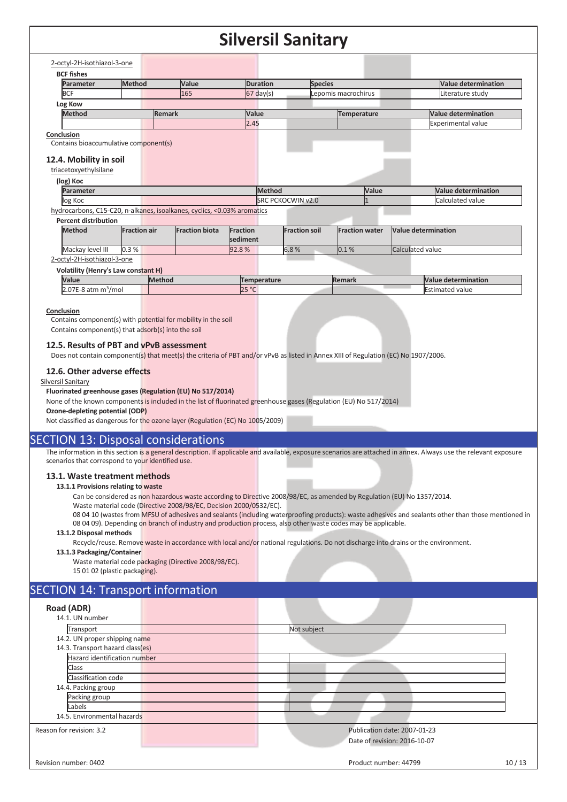| 165<br><b>Remark</b>                         | $67$ day(s)                           | Lepomis macrochirus                                                                                    | Literature study                                                                           |
|----------------------------------------------|---------------------------------------|--------------------------------------------------------------------------------------------------------|--------------------------------------------------------------------------------------------|
|                                              |                                       |                                                                                                        |                                                                                            |
|                                              |                                       |                                                                                                        |                                                                                            |
|                                              | Value                                 | Temperature                                                                                            | Value determination                                                                        |
|                                              | 2.45                                  |                                                                                                        | <b>Experimental value</b>                                                                  |
|                                              |                                       |                                                                                                        |                                                                                            |
|                                              |                                       |                                                                                                        |                                                                                            |
|                                              |                                       |                                                                                                        |                                                                                            |
|                                              |                                       |                                                                                                        |                                                                                            |
|                                              |                                       |                                                                                                        |                                                                                            |
|                                              |                                       |                                                                                                        | <b>Value determination</b>                                                                 |
|                                              |                                       |                                                                                                        | Calculated value                                                                           |
|                                              |                                       |                                                                                                        |                                                                                            |
|                                              |                                       |                                                                                                        |                                                                                            |
| <b>Fraction air</b><br><b>Fraction biota</b> |                                       |                                                                                                        | Value determination                                                                        |
|                                              | sediment                              |                                                                                                        |                                                                                            |
|                                              | 92.8%                                 | 0.1%                                                                                                   | Calculated value                                                                           |
|                                              |                                       |                                                                                                        |                                                                                            |
| <b>Volatility (Henry's Law constant H)</b>   |                                       |                                                                                                        |                                                                                            |
| Method                                       | Temperature                           | Remark                                                                                                 | Value determination                                                                        |
|                                              |                                       |                                                                                                        | <b>Estimated value</b>                                                                     |
|                                              | Contains bioaccumulative component(s) | Method<br>hydrocarbons, C15-C20, n-alkanes, isoalkanes, cyclics, <0.03% aromatics<br>Fraction<br>25 °C | Value<br><b>SRC PCKOCWIN v2.0</b><br><b>Fraction soil</b><br><b>Fraction water</b><br>6.8% |

#### **12.5. Results of PBT and vPvB assessment**

Does not contain component(s) that meet(s) the criteria of PBT and/or vPvB as listed in Annex XIII of Regulation (EC) No 1907/2006.

#### **12.6. Other adverse effects**

#### Silversil Sanitary

#### **Fluorinated greenhouse gases (Regulation (EU) No 517/2014)**

None of the known components is included in the list of fluorinated greenhouse gases (Regulation (EU) No 517/2014)

**Ozone-depleting potential (ODP)** 

Not classified as dangerous for the ozone layer (Regulation (EC) No 1005/2009)

#### SECTION 13: Disposal considerations

The information in this section is a general description. If applicable and available, exposure scenarios are attached in annex. Always use the relevant exposure scenarios that correspond to your identified use.

#### **13.1. Waste treatment methods**

#### **13.1.1 Provisions relating to waste**

Can be considered as non hazardous waste according to Directive 2008/98/EC, as amended by Regulation (EU) No 1357/2014.

Waste material code (Directive 2008/98/EC, Decision 2000/0532/EC).

08 04 10 (wastes from MFSU of adhesives and sealants (including waterproofing products): waste adhesives and sealants other than those mentioned in 08 04 09). Depending on branch of industry and production process, also other waste codes may be applicable.

#### **13.1.2 Disposal methods**

Recycle/reuse. Remove waste in accordance with local and/or national regulations. Do not discharge into drains or the environment.

#### **13.1.3 Packaging/Container**

Waste material code packaging (Directive 2008/98/EC). 15 01 02 (plastic packaging).

#### SECTION 14: Transport information

| Road (ADR)                       |                                                              |
|----------------------------------|--------------------------------------------------------------|
| 14.1. UN number                  |                                                              |
| Transport                        | Not subject                                                  |
| 14.2. UN proper shipping name    |                                                              |
| 14.3. Transport hazard class(es) |                                                              |
| Hazard identification number     |                                                              |
| Class                            |                                                              |
| Classification code              |                                                              |
| 14.4. Packing group              |                                                              |
| Packing group                    |                                                              |
| Labels                           |                                                              |
| 14.5. Environmental hazards      |                                                              |
| Reason for revision: 3.2         | Publication date: 2007-01-23<br>Date of revision: 2016-10-07 |
|                                  |                                                              |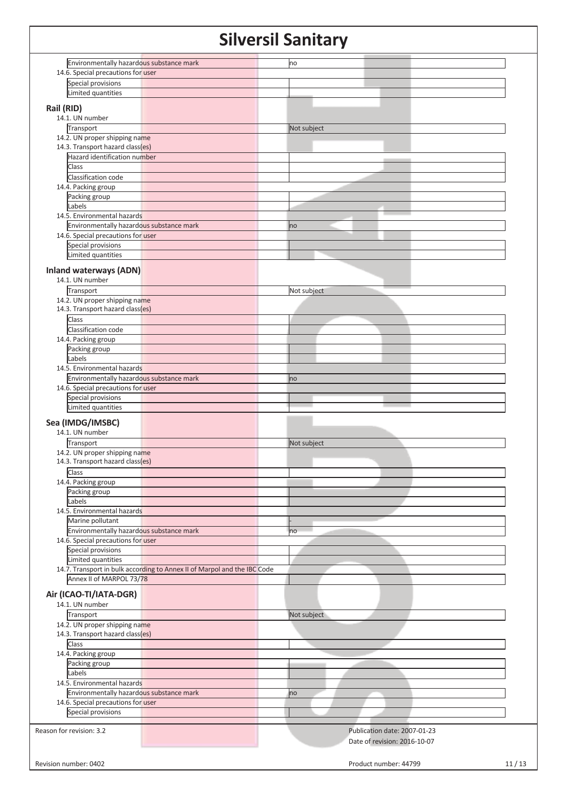| Environmentally hazardous substance mark                                 | no                           |       |
|--------------------------------------------------------------------------|------------------------------|-------|
| 14.6. Special precautions for user                                       |                              |       |
| Special provisions                                                       |                              |       |
| Limited quantities                                                       |                              |       |
|                                                                          |                              |       |
| Rail (RID)                                                               |                              |       |
| 14.1. UN number                                                          |                              |       |
| Transport                                                                | Not subject                  |       |
| 14.2. UN proper shipping name                                            |                              |       |
| 14.3. Transport hazard class(es)                                         |                              |       |
| Hazard identification number                                             |                              |       |
| Class                                                                    |                              |       |
|                                                                          |                              |       |
| Classification code                                                      |                              |       |
| 14.4. Packing group                                                      |                              |       |
| Packing group                                                            |                              |       |
| Labels                                                                   |                              |       |
| 14.5. Environmental hazards                                              |                              |       |
| Environmentally hazardous substance mark                                 | no                           |       |
| 14.6. Special precautions for user                                       |                              |       |
| Special provisions                                                       |                              |       |
| Limited quantities                                                       |                              |       |
|                                                                          |                              |       |
| <b>Inland waterways (ADN)</b>                                            |                              |       |
| 14.1. UN number                                                          |                              |       |
| Transport                                                                | Not subject                  |       |
| 14.2. UN proper shipping name                                            |                              |       |
| 14.3. Transport hazard class(es)                                         |                              |       |
| Class                                                                    |                              |       |
|                                                                          |                              |       |
| Classification code                                                      |                              |       |
| 14.4. Packing group                                                      |                              |       |
| Packing group                                                            |                              |       |
| Labels                                                                   |                              |       |
| 14.5. Environmental hazards                                              |                              |       |
| Environmentally hazardous substance mark                                 | no                           |       |
| 14.6. Special precautions for user                                       |                              |       |
| Special provisions                                                       |                              |       |
| Limited quantities                                                       |                              |       |
| Sea (IMDG/IMSBC)<br>14.1. UN number<br>Transport                         | Not subject                  |       |
| 14.2. UN proper shipping name                                            |                              |       |
| 14.3. Transport hazard class(es)                                         |                              |       |
| Class                                                                    |                              |       |
| 14.4. Packing group                                                      |                              |       |
| Packing group                                                            |                              |       |
| Labels                                                                   |                              |       |
| 14.5. Environmental hazards                                              |                              |       |
| Marine pollutant                                                         |                              |       |
| Environmentally hazardous substance mark                                 | no                           |       |
| 14.6. Special precautions for user                                       |                              |       |
| Special provisions                                                       |                              |       |
|                                                                          |                              |       |
| Limited quantities                                                       |                              |       |
| 14.7. Transport in bulk according to Annex II of Marpol and the IBC Code |                              |       |
| Annex II of MARPOL 73/78                                                 |                              |       |
| Air (ICAO-TI/IATA-DGR)<br>14.1. UN number                                |                              |       |
| Transport                                                                | Not subject                  |       |
| 14.2. UN proper shipping name                                            |                              |       |
| 14.3. Transport hazard class(es)                                         |                              |       |
| Class                                                                    |                              |       |
|                                                                          |                              |       |
| 14.4. Packing group                                                      |                              |       |
| Packing group                                                            |                              |       |
| Labels                                                                   |                              |       |
| 14.5. Environmental hazards                                              |                              |       |
| Environmentally hazardous substance mark                                 | no                           |       |
| 14.6. Special precautions for user                                       |                              |       |
| Special provisions                                                       |                              |       |
|                                                                          |                              |       |
| Reason for revision: 3.2                                                 | Publication date: 2007-01-23 |       |
|                                                                          | Date of revision: 2016-10-07 |       |
|                                                                          |                              |       |
|                                                                          |                              |       |
| Revision number: 0402                                                    | Product number: 44799        | 11/13 |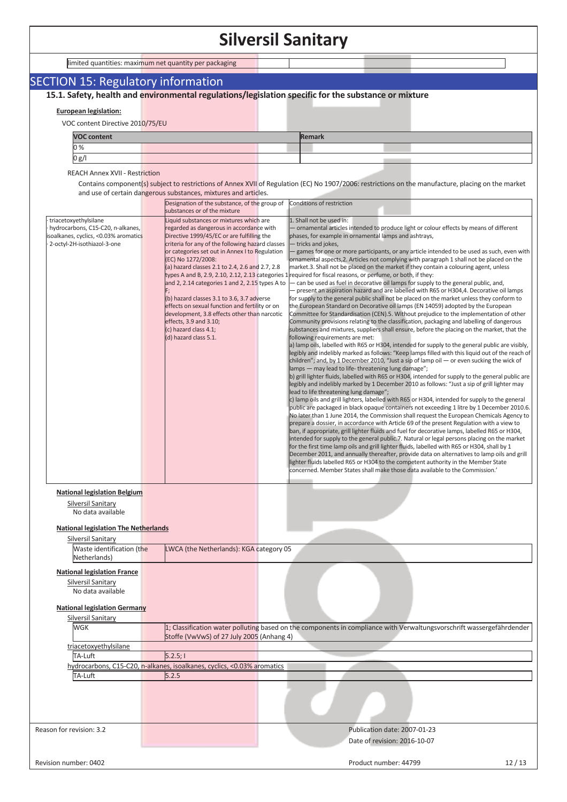### SECTION 15: Regulatory information

**15.1. Safety, health and environmental regulations/legislation specific for the substance or mixture**

#### **European legislation:**

VOC content Directive 2010/75/EU

| <b>VOC content</b> |  | Remark |  |
|--------------------|--|--------|--|
| 0%                 |  |        |  |
| 0 g/l              |  |        |  |

REACH Annex XVII - Restriction

Contains component(s) subject to restrictions of Annex XVII of Regulation (EC) No 1907/2006: restrictions on the manufacture, placing on the market and use of certain dangerous substances, mixtures and articles.

|                                                                                                                                                                                                                     | and use of certain dangerous substances, mixtures and articles.<br>Designation of the substance, of the group of                                                                                                                                                                                                                                                                                                                                                                                                                                                                                | Conditions of restriction                                                                                                                                                                                                                                                                                                                                                                                                                                                                                                                                                                                                                                                                                                                                                                                                                                                                                                                                                                                                                                                                                                                                                                                                                                                                                                                                                                                                                                                                                                                                                                                                                                                                                                                                                                                                                                                                                                                                                                                                                                                                                                                                                                                                                                                                                                                                                                                                                                                                                                                                                                                                                                                                                                                                                                                                                                                   |
|---------------------------------------------------------------------------------------------------------------------------------------------------------------------------------------------------------------------|-------------------------------------------------------------------------------------------------------------------------------------------------------------------------------------------------------------------------------------------------------------------------------------------------------------------------------------------------------------------------------------------------------------------------------------------------------------------------------------------------------------------------------------------------------------------------------------------------|-----------------------------------------------------------------------------------------------------------------------------------------------------------------------------------------------------------------------------------------------------------------------------------------------------------------------------------------------------------------------------------------------------------------------------------------------------------------------------------------------------------------------------------------------------------------------------------------------------------------------------------------------------------------------------------------------------------------------------------------------------------------------------------------------------------------------------------------------------------------------------------------------------------------------------------------------------------------------------------------------------------------------------------------------------------------------------------------------------------------------------------------------------------------------------------------------------------------------------------------------------------------------------------------------------------------------------------------------------------------------------------------------------------------------------------------------------------------------------------------------------------------------------------------------------------------------------------------------------------------------------------------------------------------------------------------------------------------------------------------------------------------------------------------------------------------------------------------------------------------------------------------------------------------------------------------------------------------------------------------------------------------------------------------------------------------------------------------------------------------------------------------------------------------------------------------------------------------------------------------------------------------------------------------------------------------------------------------------------------------------------------------------------------------------------------------------------------------------------------------------------------------------------------------------------------------------------------------------------------------------------------------------------------------------------------------------------------------------------------------------------------------------------------------------------------------------------------------------------------------------------|
|                                                                                                                                                                                                                     | substances or of the mixture                                                                                                                                                                                                                                                                                                                                                                                                                                                                                                                                                                    |                                                                                                                                                                                                                                                                                                                                                                                                                                                                                                                                                                                                                                                                                                                                                                                                                                                                                                                                                                                                                                                                                                                                                                                                                                                                                                                                                                                                                                                                                                                                                                                                                                                                                                                                                                                                                                                                                                                                                                                                                                                                                                                                                                                                                                                                                                                                                                                                                                                                                                                                                                                                                                                                                                                                                                                                                                                                             |
| triacetoxyethylsilane<br>hydrocarbons, C15-C20, n-alkanes,<br>soalkanes, cyclics, <0.03% aromatics<br>2-octyl-2H-isothiazol-3-one<br><b>National legislation Belgium</b><br>Silversil Sanitary<br>No data available | Liguid substances or mixtures which are<br>regarded as dangerous in accordance with<br>Directive 1999/45/EC or are fulfilling the<br>criteria for any of the following hazard classes<br>or categories set out in Annex I to Regulation<br>(EC) No 1272/2008:<br>(a) hazard classes 2.1 to 2.4, 2.6 and 2.7, 2.8<br>and 2, 2.14 categories 1 and 2, 2.15 types A to<br>(b) hazard classes 3.1 to 3.6, 3.7 adverse<br>effects on sexual function and fertility or on<br>development, 3.8 effects other than narcotic<br>effects, 3.9 and 3.10;<br>(c) hazard class 4.1;<br>(d) hazard class 5.1. | 1. Shall not be used in:<br>ornamental articles intended to produce light or colour effects by means of different<br>phases, for example in ornamental lamps and ashtrays,<br>tricks and jokes,<br>games for one or more participants, or any article intended to be used as such, even with<br>ornamental aspects, 2. Articles not complying with paragraph 1 shall not be placed on the<br>market.3. Shall not be placed on the market if they contain a colouring agent, unless<br>types A and B, 2.9, 2.10, 2.12, 2.13 categories 1 required for fiscal reasons, or perfume, or both, if they:<br>- can be used as fuel in decorative oil lamps for supply to the general public, and,<br>- present an aspiration hazard and are labelled with R65 or H304,4. Decorative oil lamps<br>for supply to the general public shall not be placed on the market unless they conform to<br>the European Standard on Decorative oil lamps (EN 14059) adopted by the European<br>Committee for Standardisation (CEN).5. Without prejudice to the implementation of other<br>Community provisions relating to the classification, packaging and labelling of dangerous<br>substances and mixtures, suppliers shall ensure, before the placing on the market, that the<br>following requirements are met:<br>a) lamp oils, labelled with R65 or H304, intended for supply to the general public are visibly,<br>legibly and indelibly marked as follows: "Keep lamps filled with this liquid out of the reach of<br>children"; and, by 1 December 2010, "Just a sip of lamp oil $-$ or even sucking the wick of<br>lamps – may lead to life-threatening lung damage";<br>b) grill lighter fluids, labelled with R65 or H304, intended for supply to the general public are<br>legibly and indelibly marked by 1 December 2010 as follows: "Just a sip of grill lighter may<br>lead to life threatening lung damage";<br>c) lamp oils and grill lighters, labelled with R65 or H304, intended for supply to the general<br>public are packaged in black opaque containers not exceeding 1 litre by 1 December 2010.6.<br>No later than 1 June 2014, the Commission shall request the European Chemicals Agency to<br>prepare a dossier, in accordance with Article 69 of the present Regulation with a view to<br>ban, if appropriate, grill lighter fluids and fuel for decorative lamps, labelled R65 or H304,<br>intended for supply to the general public.7. Natural or legal persons placing on the market<br>for the first time lamp oils and grill lighter fluids, labelled with R65 or H304, shall by 1<br>December 2011, and annually thereafter, provide data on alternatives to lamp oils and grill<br>lighter fluids labelled R65 or H304 to the competent authority in the Member State<br>concerned. Member States shall make those data available to the Commission.' |
| <b>National legislation The Netherlands</b>                                                                                                                                                                         |                                                                                                                                                                                                                                                                                                                                                                                                                                                                                                                                                                                                 |                                                                                                                                                                                                                                                                                                                                                                                                                                                                                                                                                                                                                                                                                                                                                                                                                                                                                                                                                                                                                                                                                                                                                                                                                                                                                                                                                                                                                                                                                                                                                                                                                                                                                                                                                                                                                                                                                                                                                                                                                                                                                                                                                                                                                                                                                                                                                                                                                                                                                                                                                                                                                                                                                                                                                                                                                                                                             |
| Silversil Sanitary                                                                                                                                                                                                  |                                                                                                                                                                                                                                                                                                                                                                                                                                                                                                                                                                                                 |                                                                                                                                                                                                                                                                                                                                                                                                                                                                                                                                                                                                                                                                                                                                                                                                                                                                                                                                                                                                                                                                                                                                                                                                                                                                                                                                                                                                                                                                                                                                                                                                                                                                                                                                                                                                                                                                                                                                                                                                                                                                                                                                                                                                                                                                                                                                                                                                                                                                                                                                                                                                                                                                                                                                                                                                                                                                             |
| Waste identification (the                                                                                                                                                                                           | LWCA (the Netherlands): KGA category 05                                                                                                                                                                                                                                                                                                                                                                                                                                                                                                                                                         |                                                                                                                                                                                                                                                                                                                                                                                                                                                                                                                                                                                                                                                                                                                                                                                                                                                                                                                                                                                                                                                                                                                                                                                                                                                                                                                                                                                                                                                                                                                                                                                                                                                                                                                                                                                                                                                                                                                                                                                                                                                                                                                                                                                                                                                                                                                                                                                                                                                                                                                                                                                                                                                                                                                                                                                                                                                                             |
| Netherlands)                                                                                                                                                                                                        |                                                                                                                                                                                                                                                                                                                                                                                                                                                                                                                                                                                                 |                                                                                                                                                                                                                                                                                                                                                                                                                                                                                                                                                                                                                                                                                                                                                                                                                                                                                                                                                                                                                                                                                                                                                                                                                                                                                                                                                                                                                                                                                                                                                                                                                                                                                                                                                                                                                                                                                                                                                                                                                                                                                                                                                                                                                                                                                                                                                                                                                                                                                                                                                                                                                                                                                                                                                                                                                                                                             |
| <b>National legislation France</b><br>Silversil Sanitary<br>No data available                                                                                                                                       |                                                                                                                                                                                                                                                                                                                                                                                                                                                                                                                                                                                                 |                                                                                                                                                                                                                                                                                                                                                                                                                                                                                                                                                                                                                                                                                                                                                                                                                                                                                                                                                                                                                                                                                                                                                                                                                                                                                                                                                                                                                                                                                                                                                                                                                                                                                                                                                                                                                                                                                                                                                                                                                                                                                                                                                                                                                                                                                                                                                                                                                                                                                                                                                                                                                                                                                                                                                                                                                                                                             |
| <b>National legislation Germany</b>                                                                                                                                                                                 |                                                                                                                                                                                                                                                                                                                                                                                                                                                                                                                                                                                                 |                                                                                                                                                                                                                                                                                                                                                                                                                                                                                                                                                                                                                                                                                                                                                                                                                                                                                                                                                                                                                                                                                                                                                                                                                                                                                                                                                                                                                                                                                                                                                                                                                                                                                                                                                                                                                                                                                                                                                                                                                                                                                                                                                                                                                                                                                                                                                                                                                                                                                                                                                                                                                                                                                                                                                                                                                                                                             |
| <b>Silversil Sanitary</b>                                                                                                                                                                                           |                                                                                                                                                                                                                                                                                                                                                                                                                                                                                                                                                                                                 |                                                                                                                                                                                                                                                                                                                                                                                                                                                                                                                                                                                                                                                                                                                                                                                                                                                                                                                                                                                                                                                                                                                                                                                                                                                                                                                                                                                                                                                                                                                                                                                                                                                                                                                                                                                                                                                                                                                                                                                                                                                                                                                                                                                                                                                                                                                                                                                                                                                                                                                                                                                                                                                                                                                                                                                                                                                                             |
| WGK                                                                                                                                                                                                                 | Stoffe (VwVwS) of 27 July 2005 (Anhang 4)                                                                                                                                                                                                                                                                                                                                                                                                                                                                                                                                                       | 1; Classification water polluting based on the components in compliance with Verwaltungsvorschrift wassergefährdender                                                                                                                                                                                                                                                                                                                                                                                                                                                                                                                                                                                                                                                                                                                                                                                                                                                                                                                                                                                                                                                                                                                                                                                                                                                                                                                                                                                                                                                                                                                                                                                                                                                                                                                                                                                                                                                                                                                                                                                                                                                                                                                                                                                                                                                                                                                                                                                                                                                                                                                                                                                                                                                                                                                                                       |
| triacetoxyethylsilane                                                                                                                                                                                               |                                                                                                                                                                                                                                                                                                                                                                                                                                                                                                                                                                                                 |                                                                                                                                                                                                                                                                                                                                                                                                                                                                                                                                                                                                                                                                                                                                                                                                                                                                                                                                                                                                                                                                                                                                                                                                                                                                                                                                                                                                                                                                                                                                                                                                                                                                                                                                                                                                                                                                                                                                                                                                                                                                                                                                                                                                                                                                                                                                                                                                                                                                                                                                                                                                                                                                                                                                                                                                                                                                             |
| TA-Luft                                                                                                                                                                                                             | 5.2.5;                                                                                                                                                                                                                                                                                                                                                                                                                                                                                                                                                                                          |                                                                                                                                                                                                                                                                                                                                                                                                                                                                                                                                                                                                                                                                                                                                                                                                                                                                                                                                                                                                                                                                                                                                                                                                                                                                                                                                                                                                                                                                                                                                                                                                                                                                                                                                                                                                                                                                                                                                                                                                                                                                                                                                                                                                                                                                                                                                                                                                                                                                                                                                                                                                                                                                                                                                                                                                                                                                             |
|                                                                                                                                                                                                                     | hydrocarbons, C15-C20, n-alkanes, isoalkanes, cyclics, <0.03% aromatics                                                                                                                                                                                                                                                                                                                                                                                                                                                                                                                         |                                                                                                                                                                                                                                                                                                                                                                                                                                                                                                                                                                                                                                                                                                                                                                                                                                                                                                                                                                                                                                                                                                                                                                                                                                                                                                                                                                                                                                                                                                                                                                                                                                                                                                                                                                                                                                                                                                                                                                                                                                                                                                                                                                                                                                                                                                                                                                                                                                                                                                                                                                                                                                                                                                                                                                                                                                                                             |
| TA-Luft                                                                                                                                                                                                             | 5.2.5                                                                                                                                                                                                                                                                                                                                                                                                                                                                                                                                                                                           |                                                                                                                                                                                                                                                                                                                                                                                                                                                                                                                                                                                                                                                                                                                                                                                                                                                                                                                                                                                                                                                                                                                                                                                                                                                                                                                                                                                                                                                                                                                                                                                                                                                                                                                                                                                                                                                                                                                                                                                                                                                                                                                                                                                                                                                                                                                                                                                                                                                                                                                                                                                                                                                                                                                                                                                                                                                                             |
| Reason for revision: 3.2                                                                                                                                                                                            |                                                                                                                                                                                                                                                                                                                                                                                                                                                                                                                                                                                                 | Publication date: 2007-01-23                                                                                                                                                                                                                                                                                                                                                                                                                                                                                                                                                                                                                                                                                                                                                                                                                                                                                                                                                                                                                                                                                                                                                                                                                                                                                                                                                                                                                                                                                                                                                                                                                                                                                                                                                                                                                                                                                                                                                                                                                                                                                                                                                                                                                                                                                                                                                                                                                                                                                                                                                                                                                                                                                                                                                                                                                                                |
|                                                                                                                                                                                                                     |                                                                                                                                                                                                                                                                                                                                                                                                                                                                                                                                                                                                 | Date of revision: 2016-10-07                                                                                                                                                                                                                                                                                                                                                                                                                                                                                                                                                                                                                                                                                                                                                                                                                                                                                                                                                                                                                                                                                                                                                                                                                                                                                                                                                                                                                                                                                                                                                                                                                                                                                                                                                                                                                                                                                                                                                                                                                                                                                                                                                                                                                                                                                                                                                                                                                                                                                                                                                                                                                                                                                                                                                                                                                                                |
|                                                                                                                                                                                                                     |                                                                                                                                                                                                                                                                                                                                                                                                                                                                                                                                                                                                 | Product number: 44799<br>12/13                                                                                                                                                                                                                                                                                                                                                                                                                                                                                                                                                                                                                                                                                                                                                                                                                                                                                                                                                                                                                                                                                                                                                                                                                                                                                                                                                                                                                                                                                                                                                                                                                                                                                                                                                                                                                                                                                                                                                                                                                                                                                                                                                                                                                                                                                                                                                                                                                                                                                                                                                                                                                                                                                                                                                                                                                                              |
| Revision number: 0402                                                                                                                                                                                               |                                                                                                                                                                                                                                                                                                                                                                                                                                                                                                                                                                                                 |                                                                                                                                                                                                                                                                                                                                                                                                                                                                                                                                                                                                                                                                                                                                                                                                                                                                                                                                                                                                                                                                                                                                                                                                                                                                                                                                                                                                                                                                                                                                                                                                                                                                                                                                                                                                                                                                                                                                                                                                                                                                                                                                                                                                                                                                                                                                                                                                                                                                                                                                                                                                                                                                                                                                                                                                                                                                             |